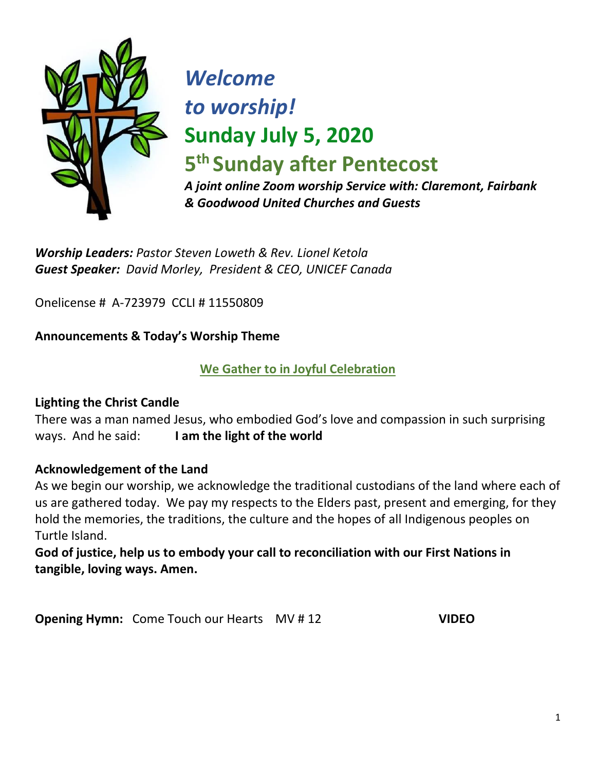

# *Welcome to worship!* **Sunday July 5, 2020**

**5 th Sunday after Pentecost** 

*A joint online Zoom worship Service with: Claremont, Fairbank & Goodwood United Churches and Guests*

*Worship Leaders: Pastor Steven Loweth & Rev. Lionel Ketola Guest Speaker: David Morley, President & CEO, UNICEF Canada*

Onelicense # A-723979 CCLI # 11550809

## **Announcements & Today's Worship Theme**

## **We Gather to in Joyful Celebration**

## **Lighting the Christ Candle**

There was a man named Jesus, who embodied God's love and compassion in such surprising ways. And he said: **I am the light of the world** 

## **Acknowledgement of the Land**

As we begin our worship, we acknowledge the traditional custodians of the land where each of us are gathered today. We pay my respects to the Elders past, present and emerging, for they hold the memories, the traditions, the culture and the hopes of all Indigenous peoples on Turtle Island.

## **God of justice, help us to embody your call to reconciliation with our First Nations in tangible, loving ways. Amen.**

**Opening Hymn:** Come Touch our Hearts MV # 12 **VIDEO**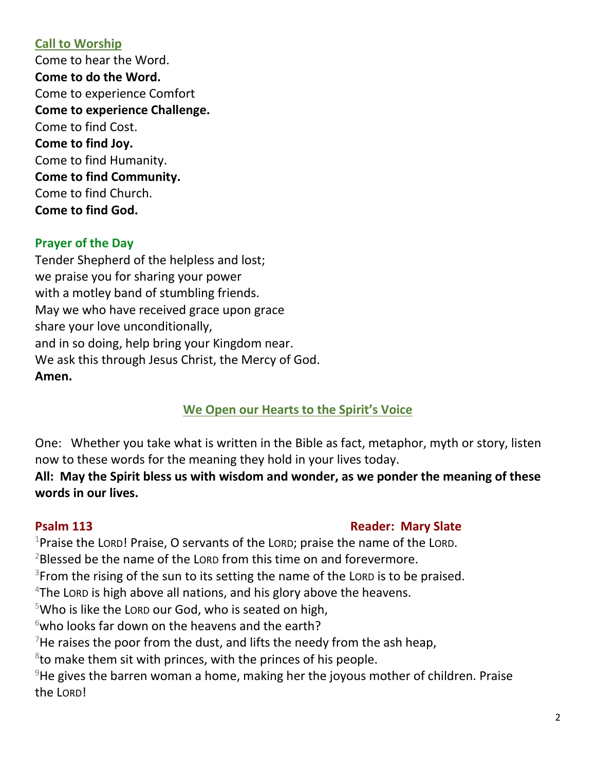## **Call to Worship**

Come to hear the Word. **Come to do the Word.**  Come to experience Comfort **Come to experience Challenge.**  Come to find Cost. **Come to find Joy.**  Come to find Humanity. **Come to find Community.**  Come to find Church. **Come to find God.**

## **Prayer of the Day**

Tender Shepherd of the helpless and lost; we praise you for sharing your power with a motley band of stumbling friends. May we who have received grace upon grace share your love unconditionally, and in so doing, help bring your Kingdom near. We ask this through Jesus Christ, the Mercy of God. **Amen.**

## **We Open our Hearts to the Spirit's Voice**

One: Whether you take what is written in the Bible as fact, metaphor, myth or story, listen now to these words for the meaning they hold in your lives today.

**All: May the Spirit bless us with wisdom and wonder, as we ponder the meaning of these words in our lives.**

## **Psalm 113 Reader: Mary Slate Reader: Mary Slate**

<sup>1</sup>Praise the LORD! Praise, O servants of the LORD; praise the name of the LORD.

 $2B$ lessed be the name of the LORD from this time on and forevermore.

 $3$ From the rising of the sun to its setting the name of the Lorp is to be praised.

 $4$ The Lord is high above all nations, and his glory above the heavens.

<sup>5</sup>Who is like the LORD our God, who is seated on high,

 $6$ who looks far down on the heavens and the earth?

 $7$ He raises the poor from the dust, and lifts the needy from the ash heap,

 $8$ to make them sit with princes, with the princes of his people.

 $9$ He gives the barren woman a home, making her the joyous mother of children. Praise the LORD!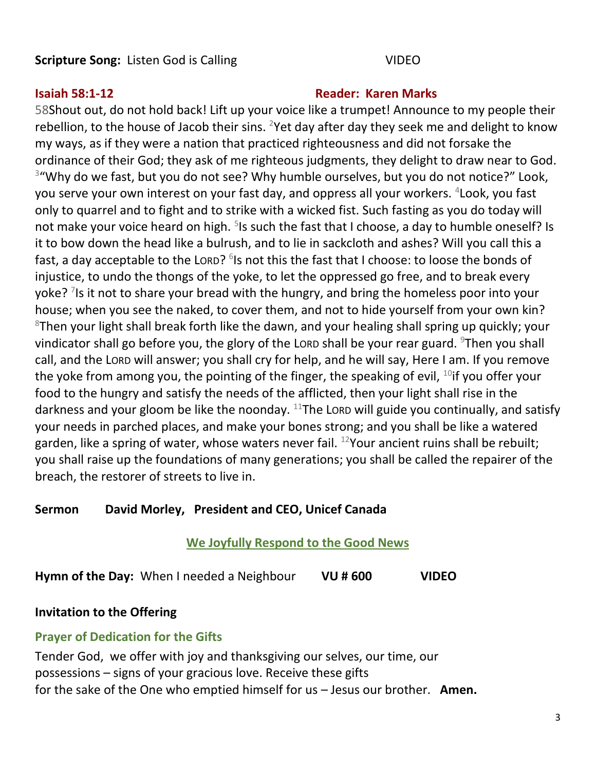## **Scripture Song:** Listen God is Calling VIDEO

### **Isaiah 58:1-12 Reader: Karen Marks**

58Shout out, do not hold back! Lift up your voice like a trumpet! Announce to my people their rebellion, to the house of Jacob their sins. <sup>2</sup>Yet day after day they seek me and delight to know my ways, as if they were a nation that practiced righteousness and did not forsake the ordinance of their God; they ask of me righteous judgments, they delight to draw near to God. <sup>3</sup>"Why do we fast, but you do not see? Why humble ourselves, but you do not notice?" Look, you serve your own interest on your fast day, and oppress all your workers. <sup>4</sup>Look, you fast only to quarrel and to fight and to strike with a wicked fist. Such fasting as you do today will not make your voice heard on high. <sup>5</sup>Is such the fast that I choose, a day to humble oneself? Is it to bow down the head like a bulrush, and to lie in sackcloth and ashes? Will you call this a fast, a day acceptable to the Lorp? <sup>6</sup>Is not this the fast that I choose: to loose the bonds of injustice, to undo the thongs of the yoke, to let the oppressed go free, and to break every yoke? <sup>7</sup>Is it not to share your bread with the hungry, and bring the homeless poor into your house; when you see the naked, to cover them, and not to hide yourself from your own kin?  $8$ Then your light shall break forth like the dawn, and your healing shall spring up quickly; your vindicator shall go before you, the glory of the Lorp shall be your rear guard.  $9$ Then you shall call, and the LORD will answer; you shall cry for help, and he will say, Here I am. If you remove the yoke from among you, the pointing of the finger, the speaking of evil,  $10$ if you offer your food to the hungry and satisfy the needs of the afflicted, then your light shall rise in the darkness and your gloom be like the noonday.  $11$ The LORD will guide you continually, and satisfy your needs in parched places, and make your bones strong; and you shall be like a watered garden, like a spring of water, whose waters never fail. <sup>12</sup>Your ancient ruins shall be rebuilt; you shall raise up the foundations of many generations; you shall be called the repairer of the breach, the restorer of streets to live in.

## **Sermon David Morley, President and CEO, Unicef Canada**

## **We Joyfully Respond to the Good News**

**Hymn of the Day:** When I needed a Neighbour **VU # 600 VIDEO** 

**Invitation to the Offering**

## **Prayer of Dedication for the Gifts**

Tender God, we offer with joy and thanksgiving our selves, our time, our possessions – signs of your gracious love. Receive these gifts for the sake of the One who emptied himself for us – Jesus our brother. **Amen.**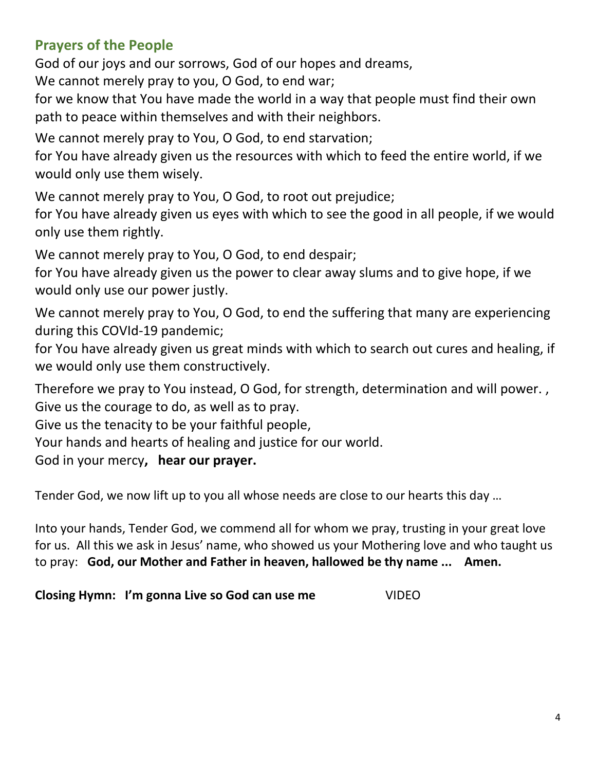## **Prayers of the People**

God of our joys and our sorrows, God of our hopes and dreams,

We cannot merely pray to you, O God, to end war;

for we know that You have made the world in a way that people must find their own path to peace within themselves and with their neighbors.

We cannot merely pray to You, O God, to end starvation;

for You have already given us the resources with which to feed the entire world, if we would only use them wisely.

We cannot merely pray to You, O God, to root out prejudice;

for You have already given us eyes with which to see the good in all people, if we would only use them rightly.

We cannot merely pray to You, O God, to end despair;

for You have already given us the power to clear away slums and to give hope, if we would only use our power justly.

We cannot merely pray to You, O God, to end the suffering that many are experiencing during this COVId-19 pandemic;

for You have already given us great minds with which to search out cures and healing, if we would only use them constructively.

Therefore we pray to You instead, O God, for strength, determination and will power. , Give us the courage to do, as well as to pray.

Give us the tenacity to be your faithful people,

Your hands and hearts of healing and justice for our world.

God in your mercy**, hear our prayer.**

Tender God, we now lift up to you all whose needs are close to our hearts this day …

Into your hands, Tender God, we commend all for whom we pray, trusting in your great love for us. All this we ask in Jesus' name, who showed us your Mothering love and who taught us to pray: **God, our Mother and Father in heaven, hallowed be thy name ... Amen.**

**Closing Hymn: I'm gonna Live so God can use me** VIDEO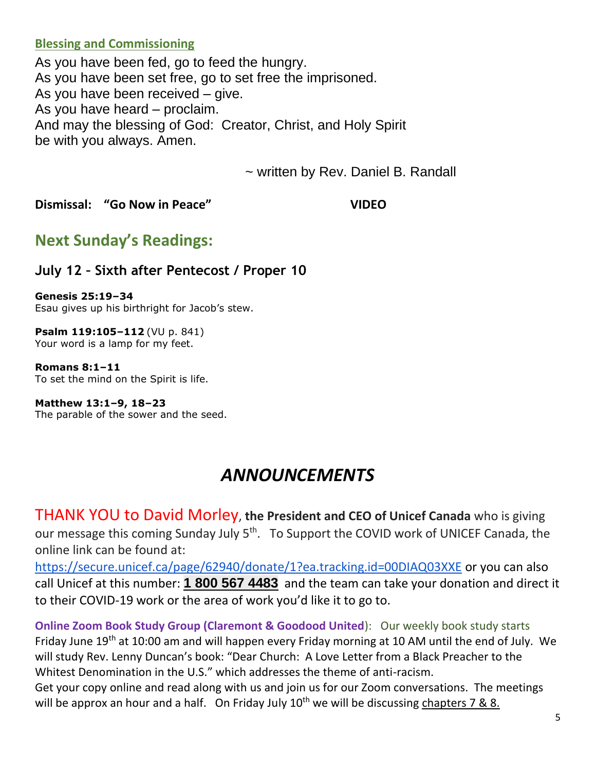### **Blessing and Commissioning**

As you have been fed, go to feed the hungry. As you have been set free, go to set free the imprisoned. As you have been received – give. As you have heard – proclaim. And may the blessing of God: Creator, Christ, and Holy Spirit be with you always. Amen.

~ written by Rev. Daniel B. Randall

**Dismissal: "Go Now in Peace" VIDEO** 

## **Next Sunday's Readings:**

## **July 12 – Sixth after Pentecost / Proper 10**

**Genesis 25:19–34** Esau gives up his birthright for Jacob's stew.

**Psalm 119:105–112** (VU p. 841) Your word is a lamp for my feet.

**Romans 8:1–11** To set the mind on the Spirit is life.

**Matthew 13:1–9, 18–23** The parable of the sower and the seed.

# *ANNOUNCEMENTS*

THANK YOU to David Morley, **the President and CEO of Unicef Canada** who is giving our message this coming Sunday July 5<sup>th</sup>. To Support the COVID work of UNICEF Canada, the online link can be found at:

<https://secure.unicef.ca/page/62940/donate/1?ea.tracking.id=00DIAQ03XXE> or you can also call Unicef at this number: **1 800 567 [4483](tel:18005674483)** and the team can take your donation and direct it to their COVID-19 work or the area of work you'd like it to go to.

**Online Zoom Book Study Group (Claremont & Goodood United):** Our weekly book study starts Friday June 19<sup>th</sup> at 10:00 am and will happen every Friday morning at 10 AM until the end of July. We will study Rev. Lenny Duncan's book: "Dear Church: A Love Letter from a Black Preacher to the Whitest Denomination in the U.S." which addresses the theme of anti-racism.

Get your copy online and read along with us and join us for our Zoom conversations. The meetings will be approx an hour and a half. On Friday July  $10^{th}$  we will be discussing chapters 7 & 8.